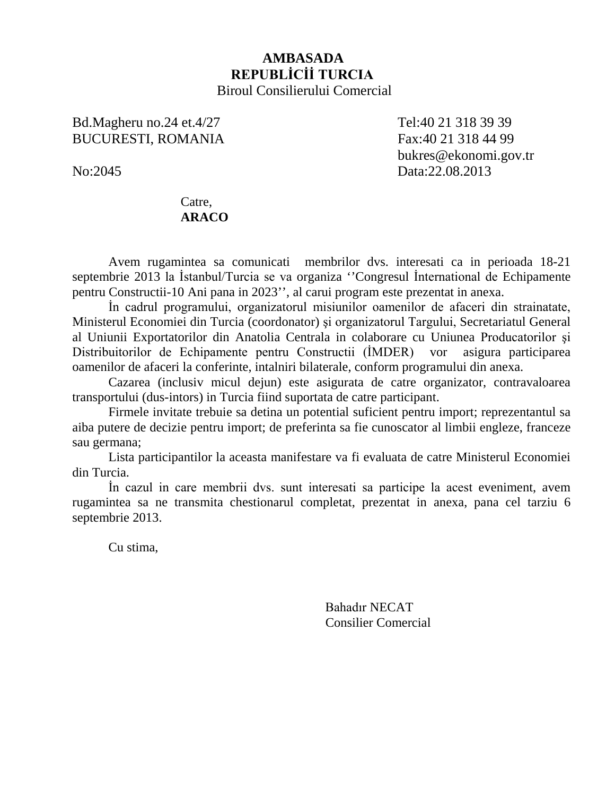## **AMBASADA REPUBLİCİİ TURCIA**  Biroul Consilierului Comercial

# Bd.Magheru no.24 et.4/27 Tel:40 21 318 39 39 BUCURESTI, ROMANIA Fax:40 21 318 44 99

bukres@ekonomi.gov.tr No:2045 Data:22.08.2013

## Catre, **ARACO**

Avem rugamintea sa comunicati membrilor dvs. interesati ca in perioada 18-21 septembrie 2013 la İstanbul/Turcia se va organiza ''Congresul İnternational de Echipamente pentru Constructii-10 Ani pana in 2023'', al carui program este prezentat in anexa.

İn cadrul programului, organizatorul misiunilor oamenilor de afaceri din strainatate, Ministerul Economiei din Turcia (coordonator) şi organizatorul Targului, Secretariatul General al Uniunii Exportatorilor din Anatolia Centrala in colaborare cu Uniunea Producatorilor şi Distribuitorilor de Echipamente pentru Constructii (İMDER) vor asigura participarea oamenilor de afaceri la conferinte, intalniri bilaterale, conform programului din anexa.

Cazarea (inclusiv micul dejun) este asigurata de catre organizator, contravaloarea transportului (dus-intors) in Turcia fiind suportata de catre participant.

Firmele invitate trebuie sa detina un potential suficient pentru import; reprezentantul sa aiba putere de decizie pentru import; de preferinta sa fie cunoscator al limbii engleze, franceze sau germana;

Lista participantilor la aceasta manifestare va fi evaluata de catre Ministerul Economiei din Turcia.

İn cazul in care membrii dvs. sunt interesati sa participe la acest eveniment, avem rugamintea sa ne transmita chestionarul completat, prezentat in anexa, pana cel tarziu 6 septembrie 2013.

Cu stima,

Bahadır NECAT Consilier Comercial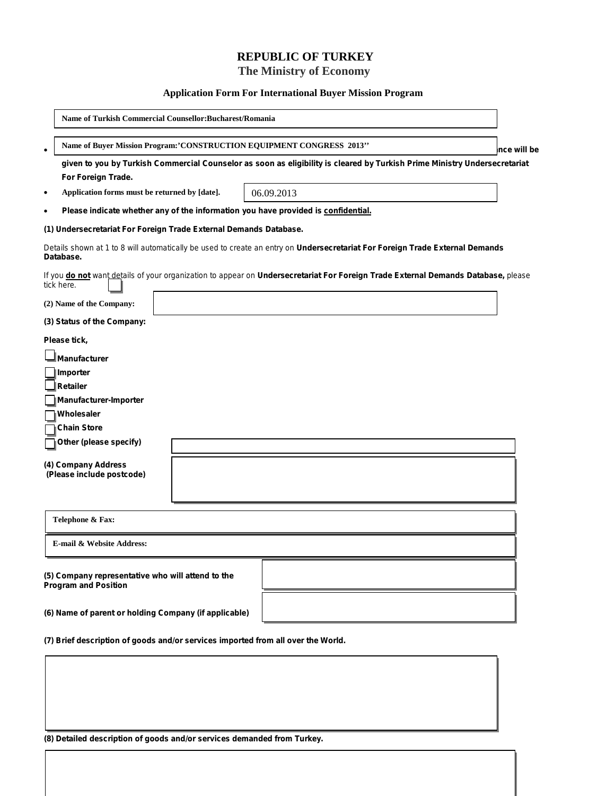## **REPUBLIC OF TURKEY**

 **The Ministry of Economy**

#### **Application Form For International Buyer Mission Program**

|                                                                                                                                                 | Name of Turkish Commercial Counsellor:Bucharest/Romania                                                                                         |             |  |  |
|-------------------------------------------------------------------------------------------------------------------------------------------------|-------------------------------------------------------------------------------------------------------------------------------------------------|-------------|--|--|
| $\bullet$                                                                                                                                       | Name of Buyer Mission Program:'CONSTRUCTION EQUIPMENT CONGRESS 2013"                                                                            | nce will be |  |  |
|                                                                                                                                                 | given to you by Turkish Commercial Counselor as soon as eligibility is cleared by Turkish Prime Ministry Undersecretariat<br>For Foreign Trade. |             |  |  |
| $\bullet$                                                                                                                                       | Application forms must be returned by [date].<br>06.09.2013                                                                                     |             |  |  |
| $\bullet$                                                                                                                                       | Please indicate whether any of the information you have provided is confidential.                                                               |             |  |  |
| (1) Undersecretariat For Foreign Trade External Demands Database.                                                                               |                                                                                                                                                 |             |  |  |
| Details shown at 1 to 8 will automatically be used to create an entry on Undersecretariat For Foreign Trade External Demands<br>Database.       |                                                                                                                                                 |             |  |  |
| If you do not want details of your organization to appear on Undersecretariat For Foreign Trade External Demands Database, please<br>tick here. |                                                                                                                                                 |             |  |  |
|                                                                                                                                                 | (2) Name of the Company:                                                                                                                        |             |  |  |
| (3) Status of the Company:                                                                                                                      |                                                                                                                                                 |             |  |  |
| Please tick,                                                                                                                                    |                                                                                                                                                 |             |  |  |
|                                                                                                                                                 | <b>Manufacturer</b>                                                                                                                             |             |  |  |
|                                                                                                                                                 | Importer                                                                                                                                        |             |  |  |
|                                                                                                                                                 | <b>Retailer</b>                                                                                                                                 |             |  |  |
|                                                                                                                                                 | Manufacturer-Importer                                                                                                                           |             |  |  |
|                                                                                                                                                 | Wholesaler                                                                                                                                      |             |  |  |
|                                                                                                                                                 | <b>Chain Store</b>                                                                                                                              |             |  |  |
|                                                                                                                                                 | Other (please specify)                                                                                                                          |             |  |  |
|                                                                                                                                                 | (4) Company Address<br>(Please include postcode)                                                                                                |             |  |  |
| Telephone & Fax:                                                                                                                                |                                                                                                                                                 |             |  |  |
| E-mail & Website Address:                                                                                                                       |                                                                                                                                                 |             |  |  |
|                                                                                                                                                 | (5) Company representative who will attend to the<br><b>Program and Position</b>                                                                |             |  |  |
| (6) Name of parent or holding Company (if applicable)                                                                                           |                                                                                                                                                 |             |  |  |
| (7) Brief description of goods and/or services imported from all over the World.                                                                |                                                                                                                                                 |             |  |  |

**(8) Detailed description of goods and/or services demanded from Turkey.**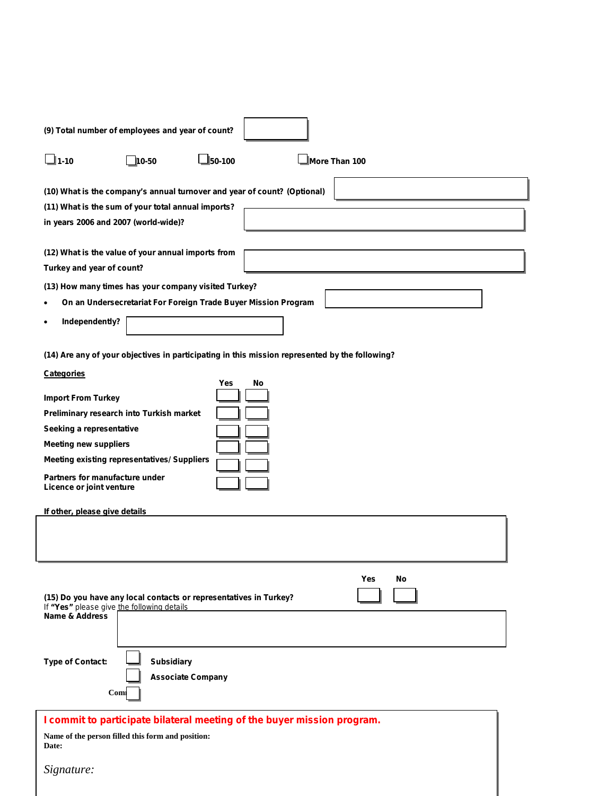| (9) Total number of employees and year of count?                                                                                                                                                                                                                                                                         |  |  |  |  |
|--------------------------------------------------------------------------------------------------------------------------------------------------------------------------------------------------------------------------------------------------------------------------------------------------------------------------|--|--|--|--|
| $\Box$ 1-10<br>$J_{50-100}$<br>More Than 100<br>10-50                                                                                                                                                                                                                                                                    |  |  |  |  |
| (10) What is the company's annual turnover and year of count? (Optional)<br>(11) What is the sum of your total annual imports?<br>in years 2006 and 2007 (world-wide)?                                                                                                                                                   |  |  |  |  |
| (12) What is the value of your annual imports from<br>Turkey and year of count?                                                                                                                                                                                                                                          |  |  |  |  |
| (13) How many times has your company visited Turkey?<br>On an Undersecretariat For Foreign Trade Buyer Mission Program<br>Independently?                                                                                                                                                                                 |  |  |  |  |
| (14) Are any of your objectives in participating in this mission represented by the following?                                                                                                                                                                                                                           |  |  |  |  |
| <b>Categories</b><br>Yes<br>No<br><b>Import From Turkey</b><br>Preliminary research into Turkish market<br>Seeking a representative<br><b>Meeting new suppliers</b><br><b>Meeting existing representatives/ Suppliers</b><br>Partners for manufacture under<br>Licence or joint venture<br>If other, please give details |  |  |  |  |
| Yes<br>No<br>(15) Do you have any local contacts or representatives in Turkey?<br>If "Yes" please give the following details<br><b>Name &amp; Address</b>                                                                                                                                                                |  |  |  |  |
| <b>Subsidiary</b><br><b>Type of Contact:</b><br><b>Associate Company</b><br>Com                                                                                                                                                                                                                                          |  |  |  |  |
| I commit to participate bilateral meeting of the buyer mission program.                                                                                                                                                                                                                                                  |  |  |  |  |
| Name of the person filled this form and position:<br>Date:                                                                                                                                                                                                                                                               |  |  |  |  |
| Signature:                                                                                                                                                                                                                                                                                                               |  |  |  |  |